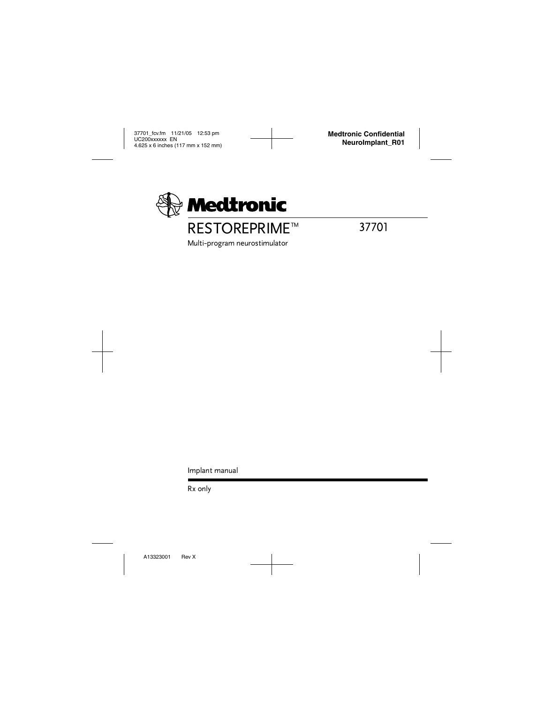

# **RESTOREPRIME<sup>™</sup>**

37701

Multi-program neurostimulator

Implant manual

Rx only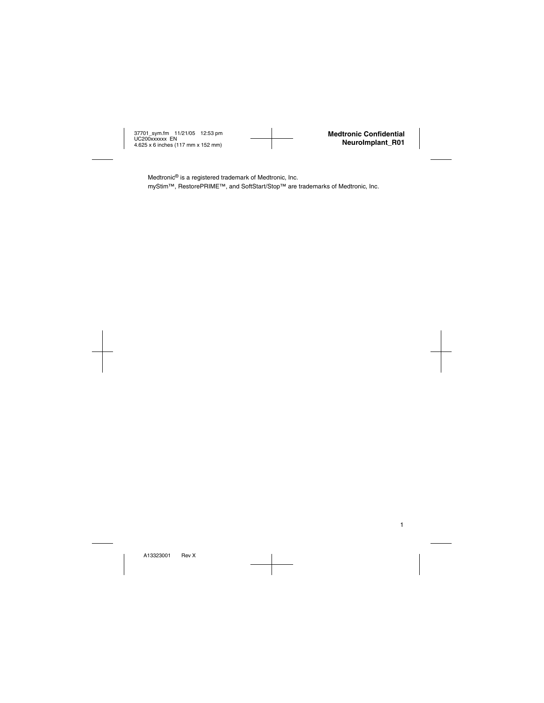Medtronic® is a registered trademark of Medtronic, Inc.

myStim™, RestorePRIME™, and SoftStart/Stop™ are trademarks of Medtronic, Inc.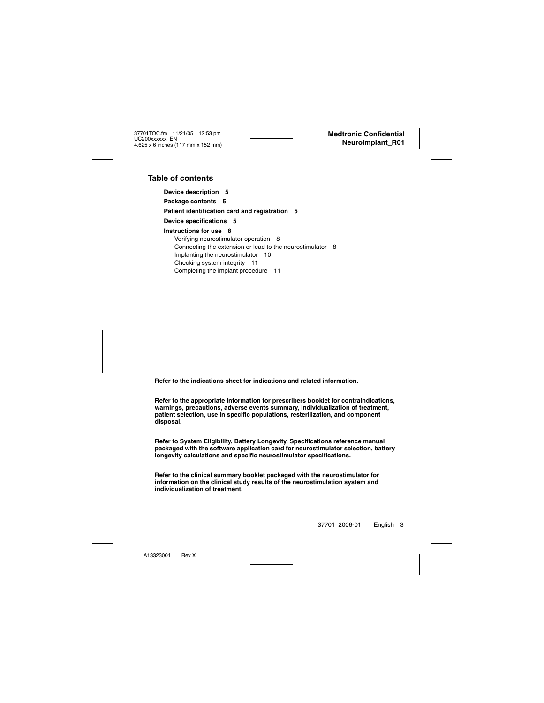#### **Table of contents**

**[Device description 5](#page-6-0) [Package contents 5](#page-6-1) [Patient identification card and registration 5](#page-6-2) [Device specifications 5](#page-6-3) [Instructions for use 8](#page-9-0)** [Verifying neurostimulator operation 8](#page-9-1) [Connecting the extension or lead to the neurostimulator 8](#page-9-2) [Implanting the neurostimulator 10](#page-11-0) [Checking system integrity 11](#page-12-0) [Completing the implant procedure 11](#page-12-1)

**Refer to the indications sheet for indications and related information.**

**Refer to the appropriate information for prescribers booklet for contraindications, warnings, precautions, adverse events summary, individualization of treatment, patient selection, use in specific populations, resterilization, and component disposal.**

**Refer to System Eligibility, Battery Longevity, Specifications reference manual packaged with the software application card for neurostimulator selection, battery longevity calculations and specific neurostimulator specifications.**

**Refer to the clinical summary booklet packaged with the neurostimulator for information on the clinical study results of the neurostimulation system and individualization of treatment.**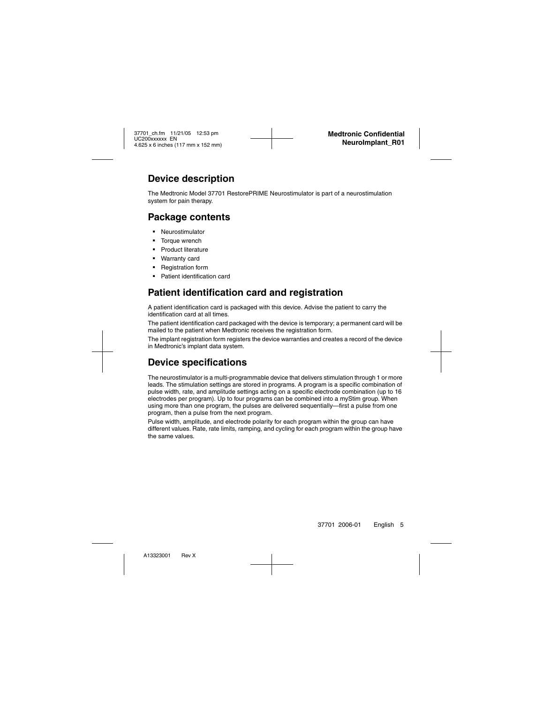## <span id="page-6-0"></span>**Device description**

The Medtronic Model 37701 RestorePRIME Neurostimulator is part of a neurostimulation system for pain therapy.

## <span id="page-6-1"></span>**Package contents**

- Neurostimulator
- Torque wrench
- Product literature
- Warranty card
- Registration form
- Patient identification card

## <span id="page-6-2"></span>**Patient identification card and registration**

A patient identification card is packaged with this device. Advise the patient to carry the identification card at all times.

The patient identification card packaged with the device is temporary; a permanent card will be mailed to the patient when Medtronic receives the registration form.

The implant registration form registers the device warranties and creates a record of the device in Medtronic's implant data system.

## <span id="page-6-3"></span>**Device specifications**

The neurostimulator is a multi-programmable device that delivers stimulation through 1 or more leads. The stimulation settings are stored in programs. A program is a specific combination of pulse width, rate, and amplitude settings acting on a specific electrode combination (up to 16 electrodes per program). Up to four programs can be combined into a myStim group. When using more than one program, the pulses are delivered sequentially—first a pulse from one program, then a pulse from the next program.

Pulse width, amplitude, and electrode polarity for each program within the group can have different values. Rate, rate limits, ramping, and cycling for each program within the group have the same values.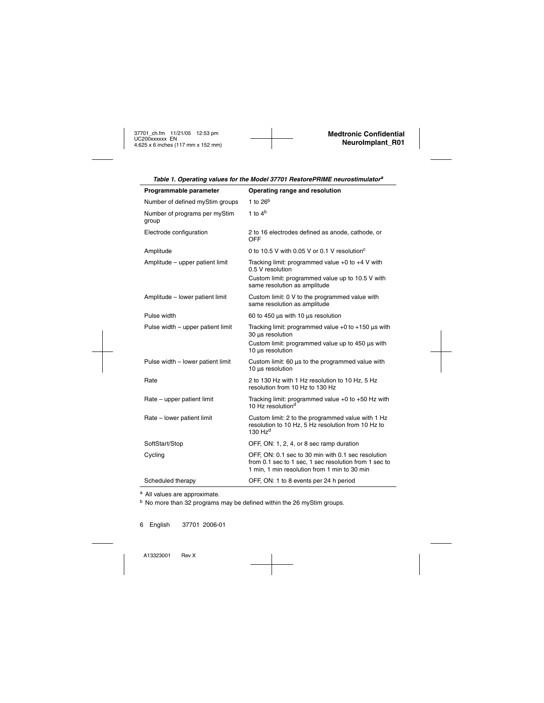| Programmable parameter                 | Operating range and resolution                                                                                                                              |  |
|----------------------------------------|-------------------------------------------------------------------------------------------------------------------------------------------------------------|--|
| Number of defined myStim groups        | 1 to $26b$                                                                                                                                                  |  |
| Number of programs per myStim<br>group | 1 to $4b$                                                                                                                                                   |  |
| Electrode configuration                | 2 to 16 electrodes defined as anode, cathode, or<br>OFF                                                                                                     |  |
| Amplitude                              | 0 to 10.5 V with 0.05 V or 0.1 V resolution <sup>c</sup>                                                                                                    |  |
| Amplitude - upper patient limit        | Tracking limit: programmed value $+0$ to $+4$ V with<br>0.5 V resolution                                                                                    |  |
|                                        | Custom limit: programmed value up to 10.5 V with<br>same resolution as amplitude                                                                            |  |
| Amplitude - lower patient limit        | Custom limit: 0 V to the programmed value with<br>same resolution as amplitude                                                                              |  |
| Pulse width                            | 60 to 450 µs with 10 µs resolution                                                                                                                          |  |
| Pulse width – upper patient limit      | Tracking limit: programmed value $+0$ to $+150$ µs with<br>30 µs resolution                                                                                 |  |
|                                        | Custom limit: programmed value up to 450 µs with<br>10 µs resolution                                                                                        |  |
| Pulse width - lower patient limit      | Custom limit: 60 us to the programmed value with<br>10 µs resolution                                                                                        |  |
| Rate                                   | 2 to 130 Hz with 1 Hz resolution to 10 Hz, 5 Hz<br>resolution from 10 Hz to 130 Hz                                                                          |  |
| Rate – upper patient limit             | Tracking limit: programmed value $+0$ to $+50$ Hz with<br>10 Hz resolution <sup>d</sup>                                                                     |  |
| Rate - lower patient limit             | Custom limit: 2 to the programmed value with 1 Hz<br>resolution to 10 Hz, 5 Hz resolution from 10 Hz to<br>130 $Hzd$                                        |  |
| SoftStart/Stop                         | OFF, ON: 1, 2, 4, or 8 sec ramp duration                                                                                                                    |  |
| Cycling                                | OFF, ON: 0.1 sec to 30 min with 0.1 sec resolution<br>from 0.1 sec to 1 sec, 1 sec resolution from 1 sec to<br>1 min, 1 min resolution from 1 min to 30 min |  |
| Scheduled therapy                      | OFF, ON: 1 to 8 events per 24 h period                                                                                                                      |  |

*Table 1. Operating values for the Model 37701 RestorePRIME neurostimulator<sup>a</sup>*

<sup>a</sup> All values are approximate.

<sup>b</sup> No more than 32 programs may be defined within the 26 myStim groups.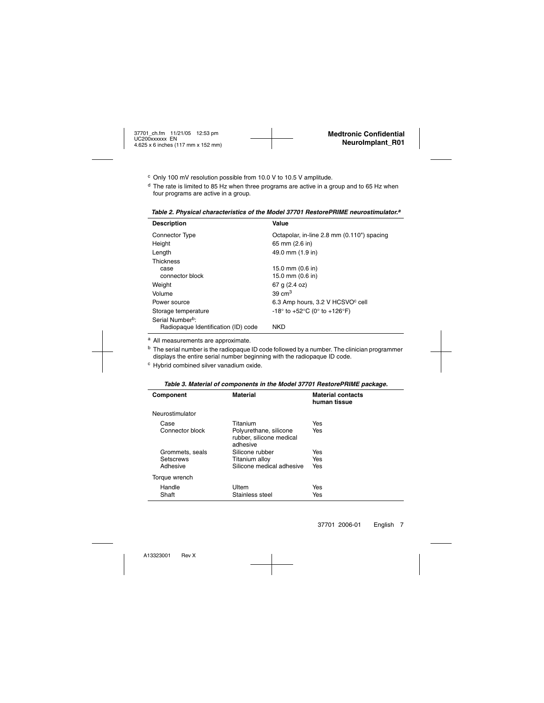- <sup>c</sup> Only 100 mV resolution possible from 10.0 V to 10.5 V amplitude.
- $<sup>d</sup>$  The rate is limited to 85 Hz when three programs are active in a group and to 65 Hz when</sup> four programs are active in a group.

| <b>Description</b>                  | Value                                        |
|-------------------------------------|----------------------------------------------|
| <b>Connector Type</b>               | Octapolar, in-line 2.8 mm (0.110") spacing   |
| Height                              | 65 mm (2.6 in)                               |
| Length                              | 49.0 mm (1.9 in)                             |
| <b>Thickness</b>                    |                                              |
| case                                | 15.0 mm (0.6 in)                             |
| connector block                     | 15.0 mm (0.6 in)                             |
| Weight                              | 67 g (2.4 oz)                                |
| Volume                              | $39 \text{ cm}^3$                            |
| Power source                        | 6.3 Amp hours, 3.2 V HCSVO <sup>c</sup> cell |
| Storage temperature                 | -18° to +52°C (0° to +126°F)                 |
| Serial Number <sup>b</sup> :        |                                              |
| Radiopaque Identification (ID) code | <b>NKD</b>                                   |

*Table 2. Physical characteristics of the Model 37701 RestorePRIME neurostimulator.a*

<sup>a</sup> All measurements are approximate.

 $<sup>b</sup>$  The serial number is the radiopaque ID code followed by a number. The clinician programmer</sup> displays the entire serial number beginning with the radiopaque ID code.

<sup>c</sup> Hybrid combined silver vanadium oxide.

| Component       | <b>Material</b>                                                | <b>Material contacts</b><br>human tissue |
|-----------------|----------------------------------------------------------------|------------------------------------------|
| Neurostimulator |                                                                |                                          |
| Case            | Titanium                                                       | Yes                                      |
| Connector block | Polyurethane, silicone<br>rubber, silicone medical<br>adhesive | Yes                                      |
| Grommets, seals | Silicone rubber                                                | Yes                                      |
| Setscrews       | Titanium alloy                                                 | Yes                                      |
| Adhesive        | Silicone medical adhesive                                      | Yes                                      |
| Torque wrench   |                                                                |                                          |
| Handle          | Ultem                                                          | Yes                                      |
| Shaft           | Stainless steel                                                | Yes                                      |

*Table 3. Material of components in the Model 37701 RestorePRIME package.*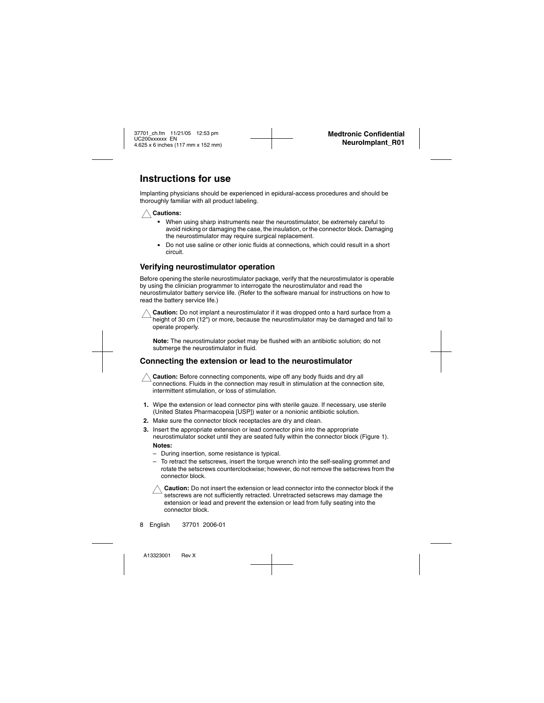## <span id="page-9-0"></span>**Instructions for use**

Implanting physicians should be experienced in epidural-access procedures and should be thoroughly familiar with all product labeling.



- When using sharp instruments near the neurostimulator, be extremely careful to avoid nicking or damaging the case, the insulation, or the connector block. Damaging the neurostimulator may require surgical replacement.
- Do not use saline or other ionic fluids at connections, which could result in a short circuit.

#### <span id="page-9-1"></span>**Verifying neurostimulator operation**

Before opening the sterile neurostimulator package, verify that the neurostimulator is operable by using the clinician programmer to interrogate the neurostimulator and read the neurostimulator battery service life. (Refer to the software manual for instructions on how to read the battery service life.)



**Caution:** Do not implant a neurostimulator if it was dropped onto a hard surface from a height of 30 cm (12") or more, because the neurostimulator may be damaged and fail to operate properly.

**Note:** The neurostimulator pocket may be flushed with an antibiotic solution; do not submerge the neurostimulator in fluid.

#### <span id="page-9-2"></span>**Connecting the extension or lead to the neurostimulator**

**Caution:** Before connecting components, wipe off any body fluids and dry all connections. Fluids in the connection may result in stimulation at the connection site, intermittent stimulation, or loss of stimulation.

- **1.** Wipe the extension or lead connector pins with sterile gauze. If necessary, use sterile (United States Pharmacopeia [USP]) water or a nonionic antibiotic solution.
- **2.** Make sure the connector block receptacles are dry and clean.
- **3.** Insert the appropriate extension or lead connector pins into the appropriate neurostimulator socket until they are seated fully within the connector block ([Figure 1](#page-10-0)). **Notes:**
	- During insertion, some resistance is typical.
	- To retract the setscrews, insert the torque wrench into the self-sealing grommet and rotate the setscrews counterclockwise; however, do not remove the setscrews from the connector block.

**Caution:** Do not insert the extension or lead connector into the connector block if the setscrews are not sufficiently retracted. Unretracted setscrews may damage the extension or lead and prevent the extension or lead from fully seating into the connector block.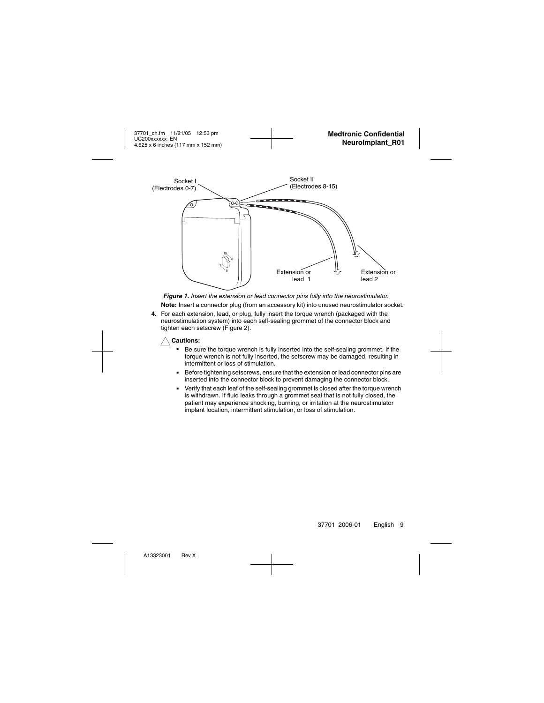

<span id="page-10-0"></span>*Figure 1.* Insert the extension or lead connector pins fully into the neurostimulator. **Note:** Insert a connector plug (from an accessory kit) into unused neurostimulator socket.

**4.** For each extension, lead, or plug, fully insert the torque wrench (packaged with the neurostimulation system) into each self-sealing grommet of the connector block and tighten each setscrew ([Figure 2\)](#page-11-1).

**Cautions:**<br>**Be su** 

- Be sure the torque wrench is fully inserted into the self-sealing grommet. If the torque wrench is not fully inserted, the setscrew may be damaged, resulting in intermittent or loss of stimulation.
- Before tightening setscrews, ensure that the extension or lead connector pins are inserted into the connector block to prevent damaging the connector block.
- Verify that each leaf of the self-sealing grommet is closed after the torque wrench is withdrawn. If fluid leaks through a grommet seal that is not fully closed, the patient may experience shocking, burning, or irritation at the neurostimulator implant location, intermittent stimulation, or loss of stimulation.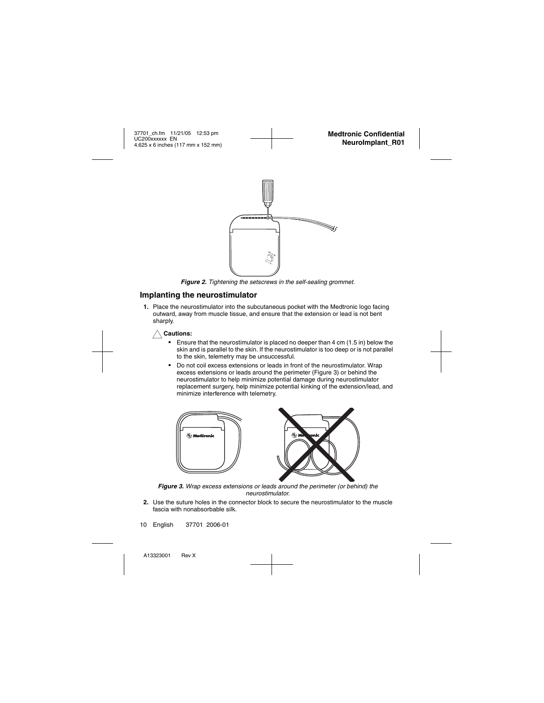

*Figure 2.* Tightening the setscrews in the self-sealing grommet.

### <span id="page-11-1"></span><span id="page-11-0"></span>**Implanting the neurostimulator**

**1.** Place the neurostimulator into the subcutaneous pocket with the Medtronic logo facing outward, away from muscle tissue, and ensure that the extension or lead is not bent sharply.



- Ensure that the neurostimulator is placed no deeper than 4 cm (1.5 in) below the skin and is parallel to the skin. If the neurostimulator is too deep or is not parallel to the skin, telemetry may be unsuccessful.
- Do not coil excess extensions or leads in front of the neurostimulator. Wrap excess extensions or leads around the perimeter ([Figure 3](#page-11-2)) or behind the neurostimulator to help minimize potential damage during neurostimulator replacement surgery, help minimize potential kinking of the extension/lead, and minimize interference with telemetry.



*Figure 3.* Wrap excess extensions or leads around the perimeter (or behind) the neurostimulator.

<span id="page-11-2"></span>**2.** Use the suture holes in the connector block to secure the neurostimulator to the muscle fascia with nonabsorbable silk.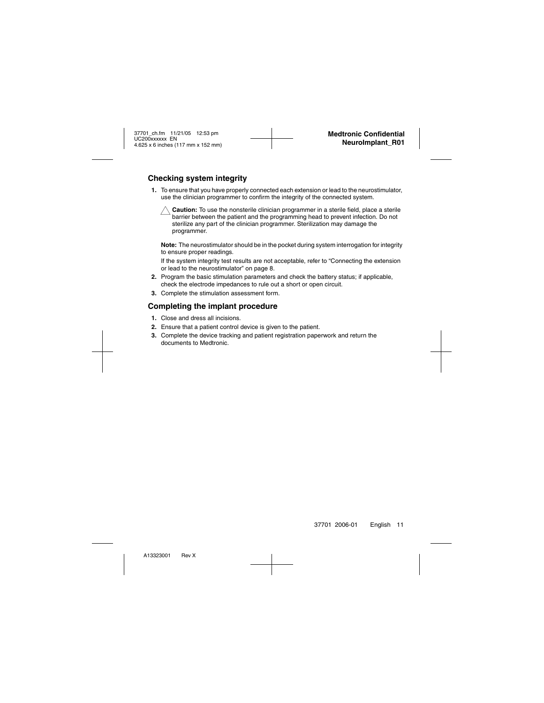#### <span id="page-12-0"></span>**Checking system integrity**

**1.** To ensure that you have properly connected each extension or lead to the neurostimulator, use the clinician programmer to confirm the integrity of the connected system.



**Caution:** To use the nonsterile clinician programmer in a sterile field, place a sterile barrier between the patient and the programming head to prevent infection. Do not sterilize any part of the clinician programmer. Sterilization may damage the programmer.

**Note:** The neurostimulator should be in the pocket during system interrogation for integrity to ensure proper readings.

If the system integrity test results are not acceptable, refer to ["Connecting the extension](#page-9-2)  [or lead to the neurostimulator" on page 8](#page-9-2).

- **2.** Program the basic stimulation parameters and check the battery status; if applicable, check the electrode impedances to rule out a short or open circuit.
- **3.** Complete the stimulation assessment form.

#### <span id="page-12-1"></span>**Completing the implant procedure**

- **1.** Close and dress all incisions.
- **2.** Ensure that a patient control device is given to the patient.
- **3.** Complete the device tracking and patient registration paperwork and return the documents to Medtronic.